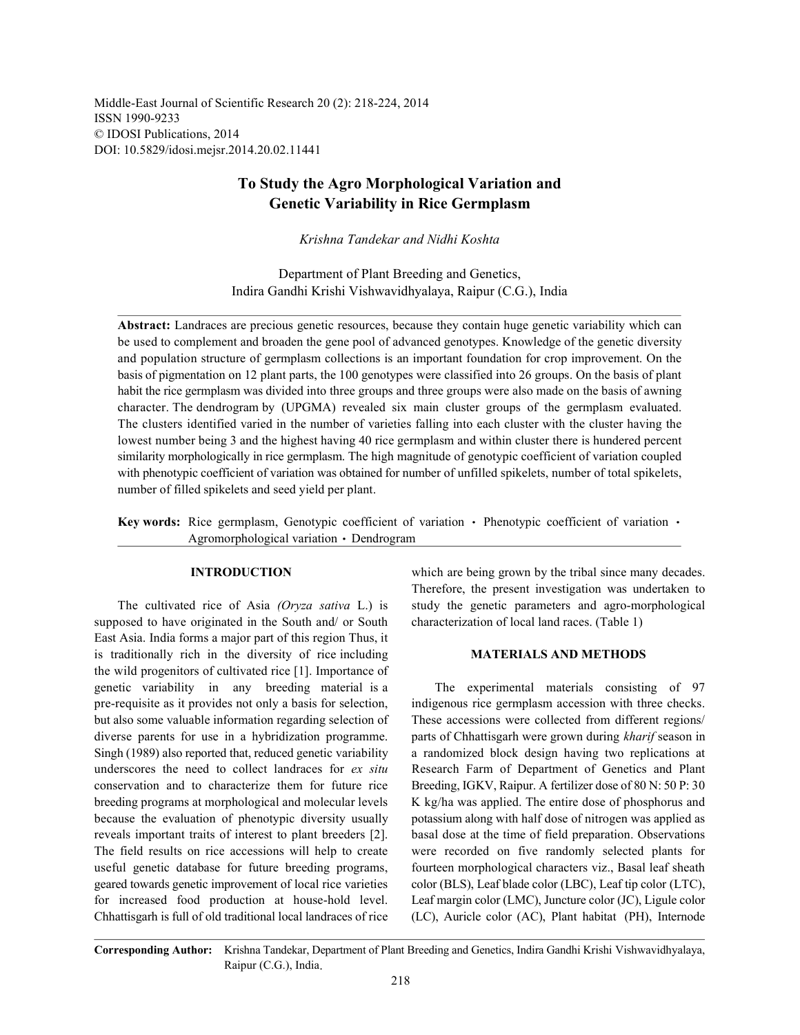Middle-East Journal of Scientific Research 20 (2): 218-224, 2014 ISSN 1990-9233 © IDOSI Publications, 2014 DOI: 10.5829/idosi.mejsr.2014.20.02.11441

# **To Study the Agro Morphological Variation and Genetic Variability in Rice Germplasm**

*Krishna Tandekar and Nidhi Koshta*

Department of Plant Breeding and Genetics, Indira Gandhi Krishi Vishwavidhyalaya, Raipur (C.G.), India

**Abstract:** Landraces are precious genetic resources, because they contain huge genetic variability which can be used to complement and broaden the gene pool of advanced genotypes. Knowledge of the genetic diversity and population structure of germplasm collections is an important foundation for crop improvement. On the basis of pigmentation on 12 plant parts, the 100 genotypes were classified into 26 groups. On the basis of plant habit the rice germplasm was divided into three groups and three groups were also made on the basis of awning character. The dendrogram by (UPGMA) revealed six main cluster groups of the germplasm evaluated. The clusters identified varied in the number of varieties falling into each cluster with the cluster having the lowest number being 3 and the highest having 40 rice germplasm and within cluster there is hundered percent similarity morphologically in rice germplasm. The high magnitude of genotypic coefficient of variation coupled with phenotypic coefficient of variation was obtained for number of unfilled spikelets, number of total spikelets, number of filled spikelets and seed yield per plant.

Key words: Rice germplasm, Genotypic coefficient of variation  $\cdot$  Phenotypic coefficient of variation  $\cdot$ Agromorphological variation · Dendrogram

supposed to have originated in the South and/ or South characterization of local land races. (Table 1) East Asia. India forms a major part of this region Thus, it is traditionally rich in the diversity of rice including **MATERIALS AND METHODS** the wild progenitors of cultivated rice [1]. Importance of genetic variability in any breeding material is a The experimental materials consisting of 97 pre-requisite as it provides not only a basis for selection, indigenous rice germplasm accession with three checks. but also some valuable information regarding selection of These accessions were collected from different regions/ diverse parents for use in a hybridization programme. parts of Chhattisgarh were grown during *kharif* season in Singh (1989) also reported that, reduced genetic variability a randomized block design having two replications at underscores the need to collect landraces for *ex situ* Research Farm of Department of Genetics and Plant conservation and to characterize them for future rice Breeding, IGKV, Raipur. A fertilizer dose of 80 N: 50 P: 30 breeding programs at morphological and molecular levels K kg/ha was applied. The entire dose of phosphorus and because the evaluation of phenotypic diversity usually potassium along with half dose of nitrogen was applied as reveals important traits of interest to plant breeders [2]. basal dose at the time of field preparation. Observations The field results on rice accessions will help to create were recorded on five randomly selected plants for useful genetic database for future breeding programs, fourteen morphological characters viz., Basal leaf sheath geared towards genetic improvement of local rice varieties color (BLS), Leaf blade color (LBC), Leaf tip color (LTC), for increased food production at house-hold level. Leaf margin color (LMC), Juncture color (JC), Ligule color Chhattisgarh is full of old traditional local landraces of rice (LC), Auricle color (AC), Plant habitat (PH), Internode

**INTRODUCTION** which are being grown by the tribal since many decades. The cultivated rice of Asia *(Oryza sativa* L.) is study the genetic parameters and agro-morphological Therefore, the present investigation was undertaken to

**Corresponding Author:** Krishna Tandekar, Department of Plant Breeding and Genetics, Indira Gandhi Krishi Vishwavidhyalaya, Raipur (C.G.), India.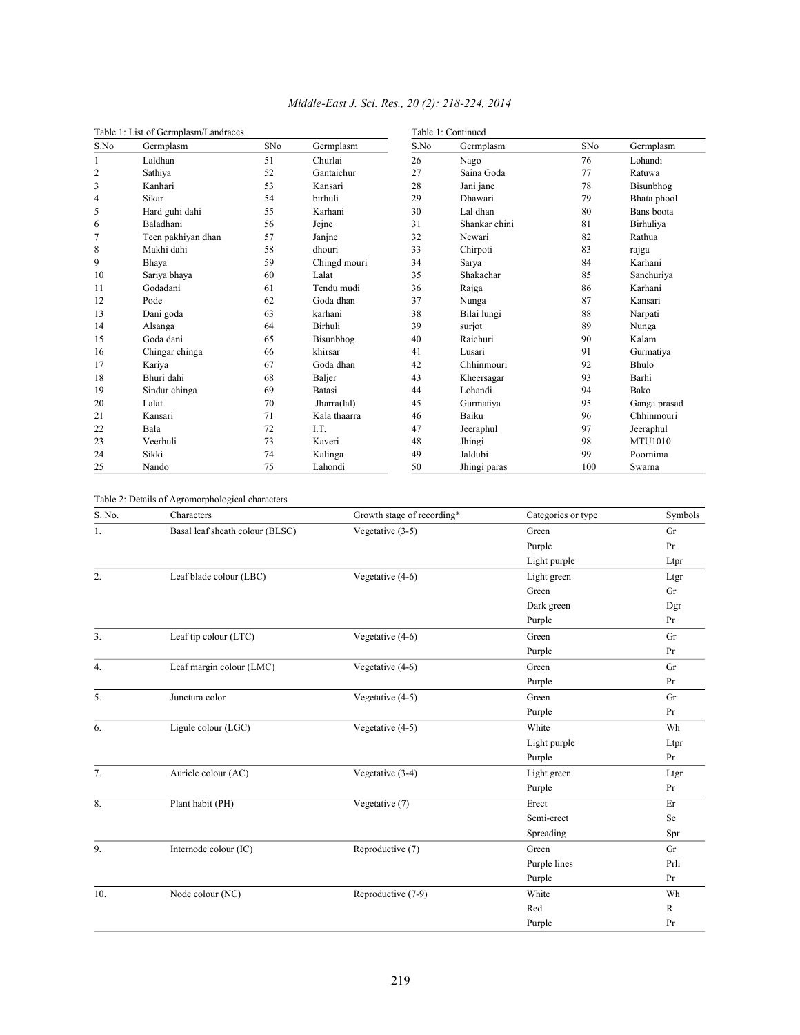| Table 1: List of Germplasm/Landraces |                    |     |              | Table 1: Continued |               |     |                |  |
|--------------------------------------|--------------------|-----|--------------|--------------------|---------------|-----|----------------|--|
| S.No                                 | Germplasm          | SNo | Germplasm    | S.No               | Germplasm     | SNo | Germplasm      |  |
|                                      | Laldhan            | 51  | Churlai      | 26                 | Nago          | 76  | Lohandi        |  |
| $\overline{c}$                       | Sathiya            | 52  | Gantaichur   | 27                 | Saina Goda    | 77  | Ratuwa         |  |
| 3                                    | Kanhari            | 53  | Kansari      | 28                 | Jani jane     | 78  | Bisunbhog      |  |
| 4                                    | Sikar              | 54  | birhuli      | 29                 | Dhawari       | 79  | Bhata phool    |  |
| 5                                    | Hard guhi dahi     | 55  | Karhani      | 30                 | Lal dhan      | 80  | Bans boota     |  |
| 6                                    | Baladhani          | 56  | Jejne        | 31                 | Shankar chini | 81  | Birhuliya      |  |
| 7                                    | Teen pakhiyan dhan | 57  | Janjne       | 32                 | Newari        | 82  | Rathua         |  |
| 8                                    | Makhi dahi         | 58  | dhouri       | 33                 | Chirpoti      | 83  | rajga          |  |
| 9                                    | Bhaya              | 59  | Chingd mouri | 34                 | Sarva         | 84  | Karhani        |  |
| 10                                   | Sariya bhaya       | 60  | Lalat        | 35                 | Shakachar     | 85  | Sanchuriya     |  |
| 11                                   | Godadani           | 61  | Tendu mudi   | 36                 | Rajga         | 86  | Karhani        |  |
| 12                                   | Pode               | 62  | Goda dhan    | 37                 | Nunga         | 87  | Kansari        |  |
| 13                                   | Dani goda          | 63  | karhani      | 38                 | Bilai lungi   | 88  | Narpati        |  |
| 14                                   | Alsanga            | 64  | Birhuli      | 39                 | surjot        | 89  | Nunga          |  |
| 15                                   | Goda dani          | 65  | Bisunbhog    | 40                 | Raichuri      | 90  | Kalam          |  |
| 16                                   | Chingar chinga     | 66  | khirsar      | 41                 | Lusari        | 91  | Gurmatiya      |  |
| 17                                   | Kariya             | 67  | Goda dhan    | 42                 | Chhinmouri    | 92  | <b>Bhulo</b>   |  |
| 18                                   | Bhuri dahi         | 68  | Baljer       | 43                 | Kheersagar    | 93  | Barhi          |  |
| 19                                   | Sindur chinga      | 69  | Batasi       | 44                 | Lohandi       | 94  | Bako           |  |
| 20                                   | Lalat              | 70  | Jharra(lal)  | 45                 | Gurmatiya     | 95  | Ganga prasad   |  |
| 21                                   | Kansari            | 71  | Kala thaarra | 46                 | Baiku         | 96  | Chhinmouri     |  |
| 22                                   | Bala               | 72  | I.T.         | 47                 | Jeeraphul     | 97  | Jeeraphul      |  |
| 23                                   | Veerhuli           | 73  | Kaveri       | 48                 | Jhingi        | 98  | <b>MTU1010</b> |  |
| 24                                   | Sikki              | 74  | Kalinga      | 49                 | Jaldubi       | 99  | Poornima       |  |
| 25                                   | Nando              | 75  | Lahondi      | 50                 | Jhingi paras  | 100 | Swarna         |  |

## *Middle-East J. Sci. Res., 20 (2): 218-224, 2014*

Table 2: Details of Agromorphological characters

| S. No.           | Characters                      | Growth stage of recording* | Categories or type | Symbols      |
|------------------|---------------------------------|----------------------------|--------------------|--------------|
| 1.               | Basal leaf sheath colour (BLSC) | Vegetative (3-5)           | Green              | Gr           |
|                  |                                 |                            | Purple             | Pr           |
|                  |                                 |                            | Light purple       | Ltpr         |
| 2.               | Leaf blade colour (LBC)         | Vegetative (4-6)           | Light green        | Ltgr         |
|                  |                                 |                            | Green              | Gr           |
|                  |                                 |                            | Dark green         | Dgr          |
|                  |                                 |                            | Purple             | Pr           |
| $\overline{3}$ . | Leaf tip colour (LTC)           | Vegetative (4-6)           | Green              | Gr           |
|                  |                                 |                            | Purple             | Pr           |
| 4.               | Leaf margin colour (LMC)        | Vegetative (4-6)           | Green              | Gr           |
|                  |                                 |                            | Purple             | Pr           |
| 5.               | Junctura color                  | Vegetative (4-5)           | Green              | Gr           |
|                  |                                 |                            | Purple             | Pr           |
| 6.               | Ligule colour (LGC)             | Vegetative (4-5)           | White              | Wh           |
|                  |                                 |                            | Light purple       | Ltpr         |
|                  |                                 |                            | Purple             | Pr           |
| 7.               | Auricle colour (AC)             | Vegetative (3-4)           | Light green        | Ltgr         |
|                  |                                 |                            | Purple             | Pr           |
| 8.               | Plant habit (PH)                | Vegetative (7)             | Erect              | Er           |
|                  |                                 |                            | Semi-erect         | Se           |
|                  |                                 |                            | Spreading          | Spr          |
| 9.               | Internode colour (IC)           | Reproductive (7)           | Green              | Gr           |
|                  |                                 |                            | Purple lines       | Prli         |
|                  |                                 |                            | Purple             | Pr           |
| 10.              | Node colour (NC)                | Reproductive (7-9)         | White              | Wh           |
|                  |                                 |                            | Red                | $\mathbb{R}$ |
|                  |                                 |                            | Purple             | Pr           |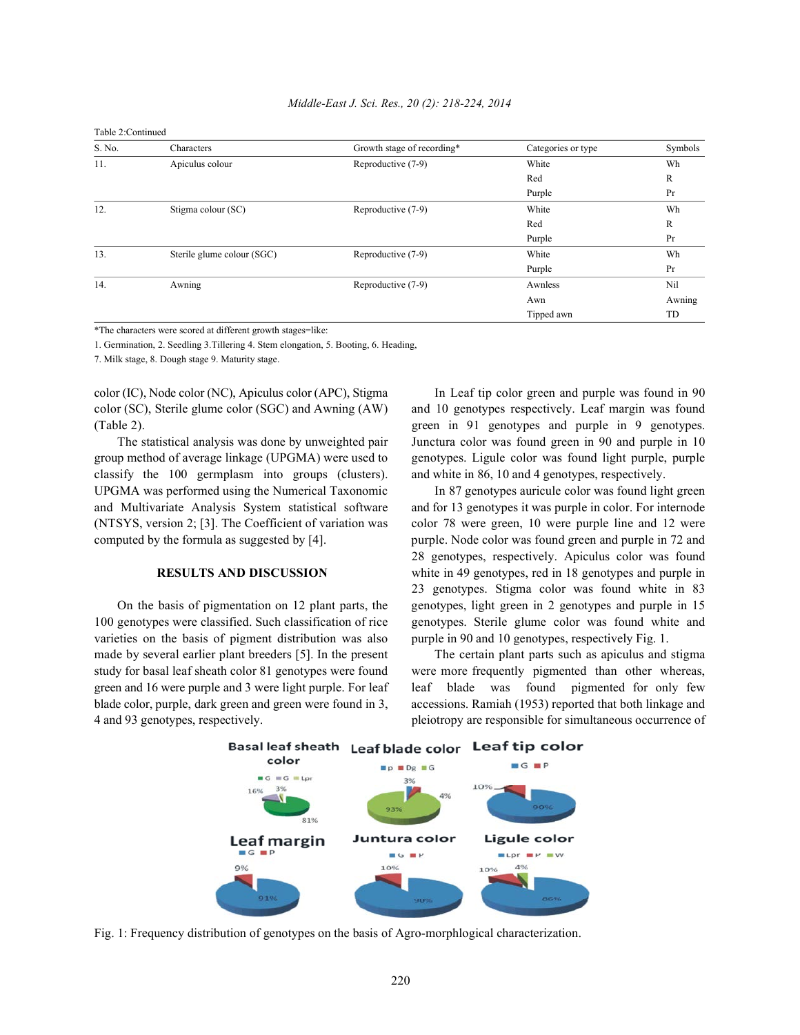Table 2:Continued

| S. No. | Characters                 | Growth stage of recording* | Categories or type | Symbols |
|--------|----------------------------|----------------------------|--------------------|---------|
| 11.    | Apiculus colour            | Reproductive (7-9)         | White              | Wh      |
|        |                            |                            | Red                | R       |
|        |                            |                            | Purple             | Pr      |
| 12.    | Stigma colour (SC)         | Reproductive (7-9)         | White              | Wh      |
|        |                            |                            | Red                | R       |
|        |                            |                            | Purple             | Pr      |
| 13.    | Sterile glume colour (SGC) | Reproductive (7-9)         | White              | Wh      |
|        |                            |                            | Purple             | Pr      |
| 14.    | Awning                     | Reproductive (7-9)         | Awnless            | Nil     |
|        |                            |                            | Awn                | Awning  |
|        |                            |                            | Tipped awn         | TD      |

\*The characters were scored at different growth stages=like:

1. Germination, 2. Seedling 3.Tillering 4. Stem elongation, 5. Booting, 6. Heading,

7. Milk stage, 8. Dough stage 9. Maturity stage.

group method of average linkage (UPGMA) were used to genotypes. Ligule color was found light purple, purple classify the 100 germplasm into groups (clusters). and white in 86, 10 and 4 genotypes, respectively. UPGMA was performed using the Numerical Taxonomic In 87 genotypes auricule color was found light green and Multivariate Analysis System statistical software and for 13 genotypes it was purple in color. For internode (NTSYS, version 2; [3]. The Coefficient of variation was color 78 were green, 10 were purple line and 12 were computed by the formula as suggested by [4]. purple. Node color was found green and purple in 72 and

varieties on the basis of pigment distribution was also purple in 90 and 10 genotypes, respectively Fig. 1. made by several earlier plant breeders [5]. In the present The certain plant parts such as apiculus and stigma

color (IC), Node color (NC), Apiculus color (APC), Stigma In Leaf tip color green and purple was found in 90 color (SC), Sterile glume color (SGC) and Awning (AW) and 10 genotypes respectively. Leaf margin was found (Table 2). green in 91 genotypes and purple in 9 genotypes. The statistical analysis was done by unweighted pair Junctura color was found green in 90 and purple in 10

**RESULTS AND DISCUSSION** white in 49 genotypes, red in 18 genotypes and purple in On the basis of pigmentation on 12 plant parts, the genotypes, light green in 2 genotypes and purple in 15 100 genotypes were classified. Such classification of rice genotypes. Sterile glume color was found white and 28 genotypes, respectively. Apiculus color was found 23 genotypes. Stigma color was found white in 83

study for basal leaf sheath color 81 genotypes were found were more frequently pigmented than other whereas, green and 16 were purple and 3 were light purple. For leaf leaf blade was found pigmented for only few blade color, purple, dark green and green were found in 3, accessions. Ramiah (1953) reported that both linkage and 4 and 93 genotypes, respectively. pleiotropy are responsible for simultaneous occurrence of



Fig. 1: Frequency distribution of genotypes on the basis of Agro-morphlogical characterization.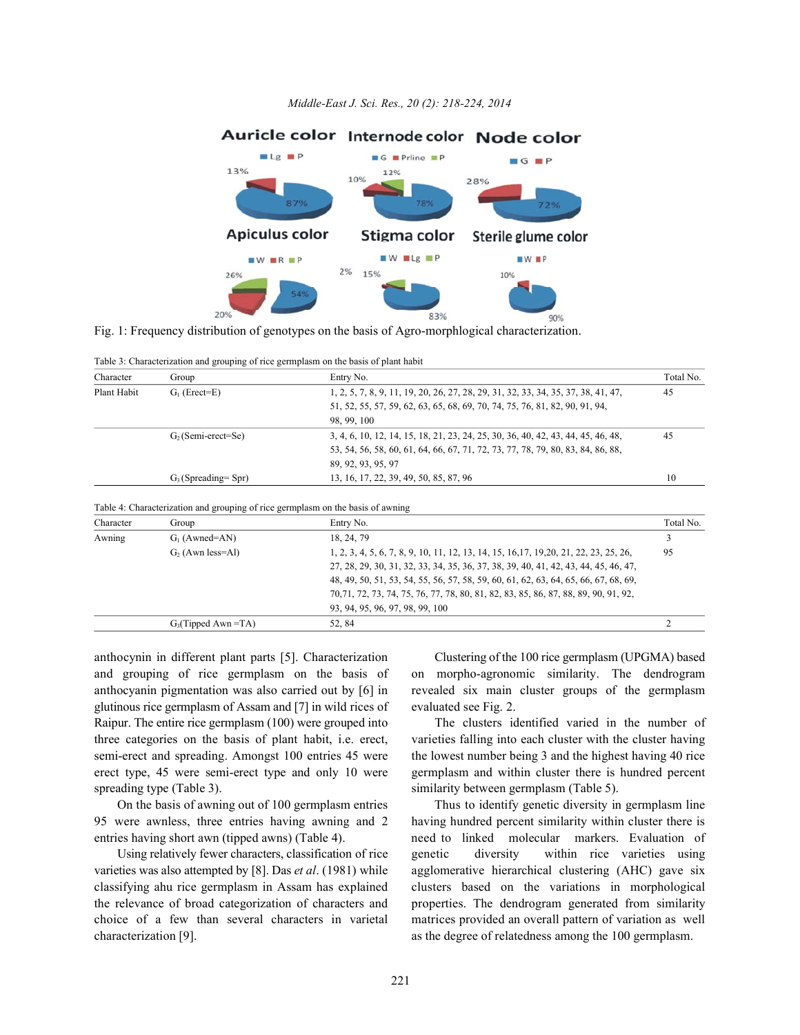

Fig. 1: Frequency distribution of genotypes on the basis of Agro-morphlogical characterization.

Table 3: Characterization and grouping of rice germplasm on the basis of plant habit

| Character   | Group                  | Entry No.                                                                         | Total No. |
|-------------|------------------------|-----------------------------------------------------------------------------------|-----------|
| Plant Habit | $G1$ (Erect=E)         | 1, 2, 5, 7, 8, 9, 11, 19, 20, 26, 27, 28, 29, 31, 32, 33, 34, 35, 37, 38, 41, 47, | 45        |
|             |                        | 51, 52, 55, 57, 59, 62, 63, 65, 68, 69, 70, 74, 75, 76, 81, 82, 90, 91, 94,       |           |
|             |                        | 98.99.100                                                                         |           |
|             | $G2$ (Semi-erect=Se)   | 3, 4, 6, 10, 12, 14, 15, 18, 21, 23, 24, 25, 30, 36, 40, 42, 43, 44, 45, 46, 48,  | 45        |
|             |                        | 53, 54, 56, 58, 60, 61, 64, 66, 67, 71, 72, 73, 77, 78, 79, 80, 83, 84, 86, 88,   |           |
|             |                        | 89, 92, 93, 95, 97                                                                |           |
|             | $G_3$ (Spreading= Spr) | 13, 16, 17, 22, 39, 49, 50, 85, 87, 96                                            | 10        |

| Table 4: Characterization and grouping of rice germplasm on the basis of awning |  |  |  |  |
|---------------------------------------------------------------------------------|--|--|--|--|

| Character | Group                                                                                                        | Entry No.                                                                           | Total No. |
|-----------|--------------------------------------------------------------------------------------------------------------|-------------------------------------------------------------------------------------|-----------|
| Awning    | $G_1$ (Awned=AN)                                                                                             | 18, 24, 79                                                                          |           |
|           | 1, 2, 3, 4, 5, 6, 7, 8, 9, 10, 11, 12, 13, 14, 15, 16, 17, 19, 20, 21, 22, 23, 25, 26,<br>$G2$ (Awn less=Al) |                                                                                     | 95        |
|           |                                                                                                              | 27, 28, 29, 30, 31, 32, 33, 34, 35, 36, 37, 38, 39, 40, 41, 42, 43, 44, 45, 46, 47, |           |
|           |                                                                                                              | 48, 49, 50, 51, 53, 54, 55, 56, 57, 58, 59, 60, 61, 62, 63, 64, 65, 66, 67, 68, 69, |           |
|           |                                                                                                              | 70,71, 72, 73, 74, 75, 76, 77, 78, 80, 81, 82, 83, 85, 86, 87, 88, 89, 90, 91, 92,  |           |
|           |                                                                                                              | 93, 94, 95, 96, 97, 98, 99, 100                                                     |           |
|           | $G_3$ (Tipped Awn = TA)                                                                                      | 52.84                                                                               |           |

and grouping of rice germplasm on the basis of on morpho-agronomic similarity. The dendrogram anthocyanin pigmentation was also carried out by [6] in revealed six main cluster groups of the germplasm glutinous rice germplasm of Assam and [7] in wild rices of evaluated see Fig. 2. Raipur. The entire rice germplasm (100) were grouped into The clusters identified varied in the number of three categories on the basis of plant habit, i.e. erect, varieties falling into each cluster with the cluster having semi-erect and spreading. Amongst 100 entries 45 were the lowest number being 3 and the highest having 40 rice erect type, 45 were semi-erect type and only 10 were germplasm and within cluster there is hundred percent spreading type (Table 3). Similarity between germplasm (Table 5).

95 were awnless, three entries having awning and 2 having hundred percent similarity within cluster there is

characterization [9]. as the degree of relatedness among the 100 germplasm.

anthocynin in different plant parts [5]. Characterization Clustering of the 100 rice germplasm (UPGMA) based

On the basis of awning out of 100 germplasm entries Thus to identify genetic diversity in germplasm line entries having short awn (tipped awns) (Table 4). he need to linked molecular markers. Evaluation of Using relatively fewer characters, classification of rice genetic diversity within rice varieties using varieties was also attempted by [8]. Das *et al*. (1981) while agglomerative hierarchical clustering (AHC) gave six classifying ahu rice germplasm in Assam has explained clusters based on the variations in morphological the relevance of broad categorization of characters and properties. The dendrogram generated from similarity choice of a few than several characters in varietal matrices provided an overall pattern of variation as well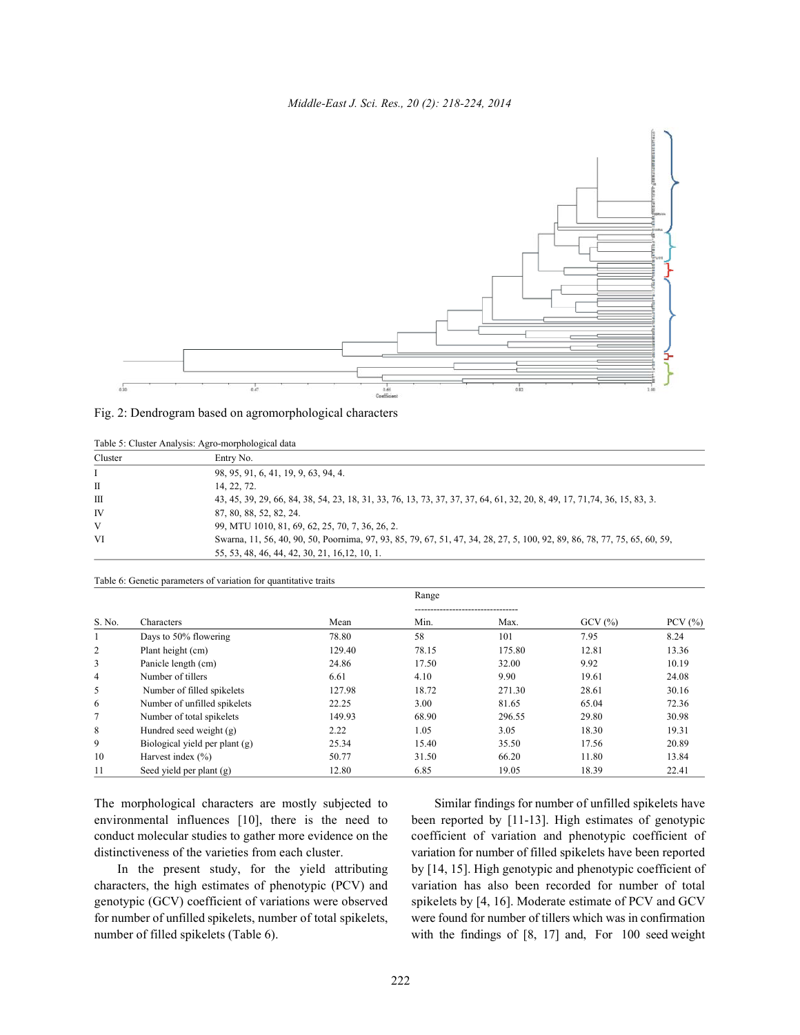

| Fig. 2: Dendrogram based on agromorphological characters |  |  |  |
|----------------------------------------------------------|--|--|--|
|                                                          |  |  |  |

|         | raore 5. Chaster Timerysis. Tigro morphorogical data                                                                      |  |  |  |  |  |
|---------|---------------------------------------------------------------------------------------------------------------------------|--|--|--|--|--|
| Cluster | Entry No.                                                                                                                 |  |  |  |  |  |
|         | 98, 95, 91, 6, 41, 19, 9, 63, 94, 4.                                                                                      |  |  |  |  |  |
| П       | 14, 22, 72.                                                                                                               |  |  |  |  |  |
| Ш       | 43, 45, 39, 29, 66, 84, 38, 54, 23, 18, 31, 33, 76, 13, 73, 37, 37, 37, 64, 61, 32, 20, 8, 49, 17, 71, 74, 36, 15, 83, 3. |  |  |  |  |  |
| IV      | 87, 80, 88, 52, 82, 24.                                                                                                   |  |  |  |  |  |
| V       | 99, MTU 1010, 81, 69, 62, 25, 70, 7, 36, 26, 2.                                                                           |  |  |  |  |  |
| VI      | Swarna, 11, 56, 40, 90, 50, Poornima, 97, 93, 85, 79, 67, 51, 47, 34, 28, 27, 5, 100, 92, 89, 86, 78, 77, 75, 65, 60, 59, |  |  |  |  |  |
|         | 55, 53, 48, 46, 44, 42, 30, 21, 16, 12, 10, 1.                                                                            |  |  |  |  |  |

Table 5: Cluster Analysis: Agro-morphological data

|                |                                |        | Range |                                        |        |             |
|----------------|--------------------------------|--------|-------|----------------------------------------|--------|-------------|
| S. No.         | Characters                     | Mean   | Min.  | ------------------------------<br>Max. | GCV(%) | PCV $(\% )$ |
| Ι.             | Days to 50% flowering          | 78.80  | 58    | 101                                    | 7.95   | 8.24        |
| $\overline{c}$ | Plant height (cm)              | 129.40 | 78.15 | 175.80                                 | 12.81  | 13.36       |
| 3              | Panicle length (cm)            | 24.86  | 17.50 | 32.00                                  | 9.92   | 10.19       |
| 4              | Number of tillers              | 6.61   | 4.10  | 9.90                                   | 19.61  | 24.08       |
| 5              | Number of filled spikelets     | 127.98 | 18.72 | 271.30                                 | 28.61  | 30.16       |
| 6              | Number of unfilled spikelets   | 22.25  | 3.00  | 81.65                                  | 65.04  | 72.36       |
|                | Number of total spikelets      | 149.93 | 68.90 | 296.55                                 | 29.80  | 30.98       |
| 8              | Hundred seed weight (g)        | 2.22   | 1.05  | 3.05                                   | 18.30  | 19.31       |
| 9              | Biological yield per plant (g) | 25.34  | 15.40 | 35.50                                  | 17.56  | 20.89       |
| 10             | Harvest index $(\% )$          | 50.77  | 31.50 | 66.20                                  | 11.80  | 13.84       |
| 11             | Seed yield per plant $(g)$     | 12.80  | 6.85  | 19.05                                  | 18.39  | 22.41       |

Table 6: Genetic parameters of variation for quantitative traits

The morphological characters are mostly subjected to Similar findings for number of unfilled spikelets have environmental influences [10], there is the need to been reported by [11-13]. High estimates of genotypic conduct molecular studies to gather more evidence on the coefficient of variation and phenotypic coefficient of distinctiveness of the varieties from each cluster. variation for number of filled spikelets have been reported

characters, the high estimates of phenotypic (PCV) and variation has also been recorded for number of total genotypic (GCV) coefficient of variations were observed spikelets by [4, 16]. Moderate estimate of PCV and GCV for number of unfilled spikelets, number of total spikelets, were found for number of tillers which was in confirmation number of filled spikelets (Table 6). with the findings of [8, 17] and, For 100 seed weight

In the present study, for the yield attributing by [14, 15]. High genotypic and phenotypic coefficient of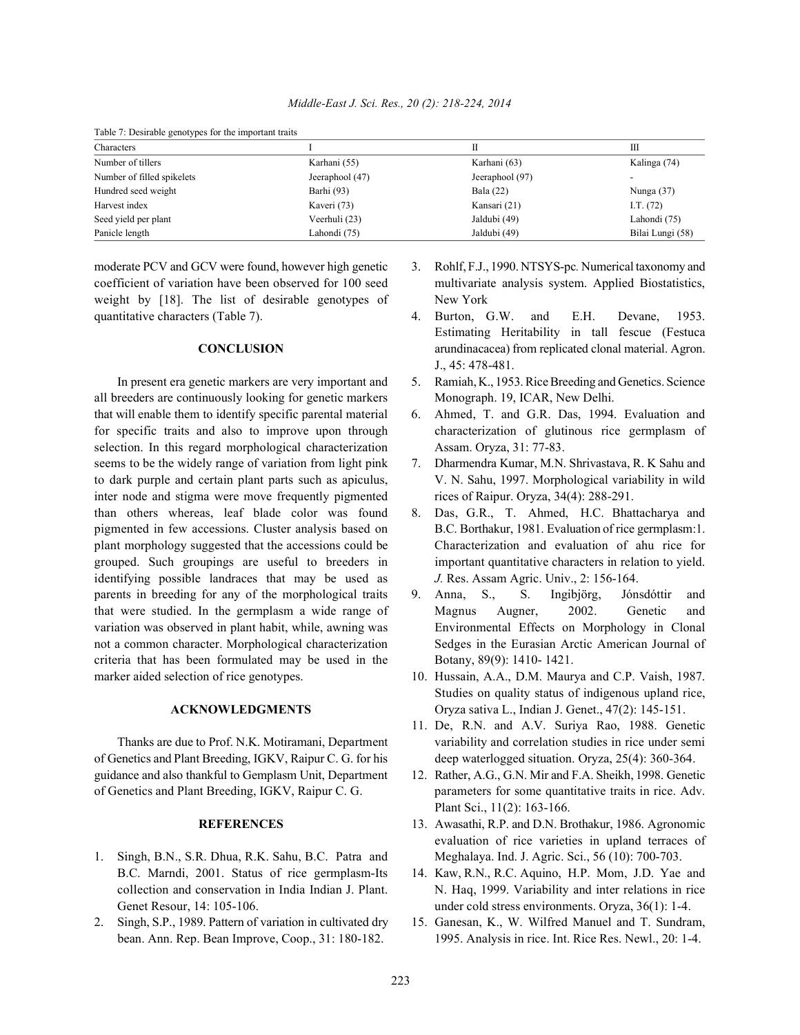| Middle-East J. Sci. Res., 20 (2): 218-224, 2014 |  |  |  |  |  |  |
|-------------------------------------------------|--|--|--|--|--|--|
|-------------------------------------------------|--|--|--|--|--|--|

| Table /: Desirable genotypes for the important traits |                 |                 |                  |  |  |  |  |
|-------------------------------------------------------|-----------------|-----------------|------------------|--|--|--|--|
| Characters                                            |                 |                 | Ш                |  |  |  |  |
| Number of tillers                                     | Karhani (55)    | Karhani (63)    | Kalinga (74)     |  |  |  |  |
| Number of filled spikelets                            | Jeeraphool (47) | Jeeraphool (97) |                  |  |  |  |  |
| Hundred seed weight                                   | Barhi (93)      | Bala (22)       | Nunga $(37)$     |  |  |  |  |
| Harvest index                                         | Kaveri (73)     | Kansari (21)    | I.T. $(72)$      |  |  |  |  |
| Seed yield per plant                                  | Veerhuli (23)   | Jaldubi (49)    | Lahondi (75)     |  |  |  |  |
| Panicle length                                        | Lahondi (75)    | Jaldubi (49)    | Bilai Lungi (58) |  |  |  |  |

Table 7: Desirable genotypes for the important traits

coefficient of variation have been observed for 100 seed multivariate analysis system. Applied Biostatistics, weight by [18]. The list of desirable genotypes of New York quantitative characters (Table 7). 4. Burton, G.W. and E.H. Devane, 1953.

all breeders are continuously looking for genetic markers Monograph. 19, ICAR, New Delhi. that will enable them to identify specific parental material 6. Ahmed, T. and G.R. Das, 1994. Evaluation and selection. In this regard morphological characterization Assam. Oryza, 31: 77-83. seems to be the widely range of variation from light pink 7. Dharmendra Kumar, M.N. Shrivastava, R. K Sahu and inter node and stigma were move frequently pigmented rices of Raipur. Oryza, 34(4): 288-291. than others whereas, leaf blade color was found 8. Das, G.R., T. Ahmed, H.C. Bhattacharya and pigmented in few accessions. Cluster analysis based on B.C. Borthakur, 1981. Evaluation of rice germplasm:1. plant morphology suggested that the accessions could be Characterization and evaluation of ahu rice for grouped. Such groupings are useful to breeders in important quantitative characters in relation to yield. identifying possible landraces that may be used as *J.* Res. Assam Agric. Univ., 2: 156-164. parents in breeding for any of the morphological traits 9. Anna, S., S. Ingibjörg, Jónsdóttir and that were studied. In the germplasm a wide range of Magnus Augner, 2002. Genetic and variation was observed in plant habit, while, awning was Environmental Effects on Morphology in Clonal not a common character. Morphological characterization Sedges in the Eurasian Arctic American Journal of criteria that has been formulated may be used in the Botany, 89(9): 1410- 1421. marker aided selection of rice genotypes. 10. Hussain, A.A., D.M. Maurya and C.P. Vaish, 1987.

of Genetics and Plant Breeding, IGKV, Raipur C. G. for his deep waterlogged situation. Oryza, 25(4): 360-364. guidance and also thankful to Gemplasm Unit, Department 12. Rather, A.G., G.N. Mir and F.A. Sheikh, 1998. Genetic of Genetics and Plant Breeding, IGKV, Raipur C. G. parameters for some quantitative traits in rice. Adv.

- 1. Singh, B.N., S.R. Dhua, R.K. Sahu, B.C. Patra and Meghalaya. Ind. J. Agric. Sci., 56 (10): 700-703.
- 2. Singh, S.P., 1989. Pattern of variation in cultivated dry 15. Ganesan, K., W. Wilfred Manuel and T. Sundram,
- moderate PCV and GCV were found, however high genetic 3. Rohlf, F.J., 1990. NTSYS-pc*.* Numerical taxonomy and
	- **CONCLUSION arundinacacea**) from replicated clonal material. Agron. Estimating Heritability in tall fescue (Festuca J., 45: 478-481.
	- In present era genetic markers are very important and 5. Ramiah, K., 1953. Rice Breeding and Genetics. Science
- for specific traits and also to improve upon through characterization of glutinous rice germplasm of
- to dark purple and certain plant parts such as apiculus, V. N. Sahu, 1997. Morphological variability in wild
	-
	-
	- **ACKNOWLEDGMENTS** Oryza sativa L., Indian J. Genet., 47(2): 145-151. Studies on quality status of indigenous upland rice,
	- Thanks are due to Prof. N.K. Motiramani, Department variability and correlation studies in rice under semi 11. De, R.N. and A.V. Suriya Rao, 1988. Genetic
		- Plant Sci., 11(2): 163-166.
		- **REFERENCES** 13. Awasathi, R.P. and D.N. Brothakur, 1986. Agronomic evaluation of rice varieties in upland terraces of
	- B.C. Marndi, 2001. Status of rice germplasm-Its 14. Kaw, R.N., R.C. Aquino, H.P. Mom, J.D. Yae and collection and conservation in India Indian J. Plant. N. Haq, 1999. Variability and inter relations in rice Genet Resour, 14: 105-106. Under cold stress environments. Oryza, 36(1): 1-4.
	- bean. Ann. Rep. Bean Improve, Coop., 31: 180-182. 1995. Analysis in rice. Int. Rice Res. Newl., 20: 1-4.